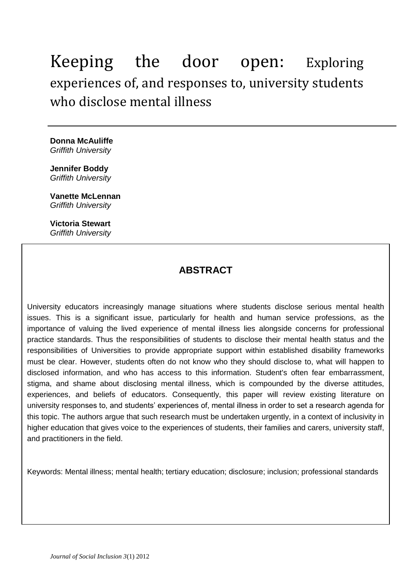# Keeping the door open: Exploring experiences of, and responses to, university students who disclose mental illness

**Donna McAuliffe** *Griffith University*

**Jennifer Boddy** *Griffith University*

**Vanette McLennan** *Griffith University*

**Victoria Stewart** *Griffith University*

# **ABSTRACT**

University educators increasingly manage situations where students disclose serious mental health issues. This is a significant issue, particularly for health and human service professions, as the importance of valuing the lived experience of mental illness lies alongside concerns for professional practice standards. Thus the responsibilities of students to disclose their mental health status and the responsibilities of Universities to provide appropriate support within established disability frameworks must be clear. However, students often do not know who they should disclose to, what will happen to disclosed information, and who has access to this information. Student's often fear embarrassment, stigma, and shame about disclosing mental illness, which is compounded by the diverse attitudes, experiences, and beliefs of educators. Consequently, this paper will review existing literature on university responses to, and students' experiences of, mental illness in order to set a research agenda for this topic. The authors argue that such research must be undertaken urgently, in a context of inclusivity in higher education that gives voice to the experiences of students, their families and carers, university staff, and practitioners in the field.

Keywords: Mental illness; mental health; tertiary education; disclosure; inclusion; professional standards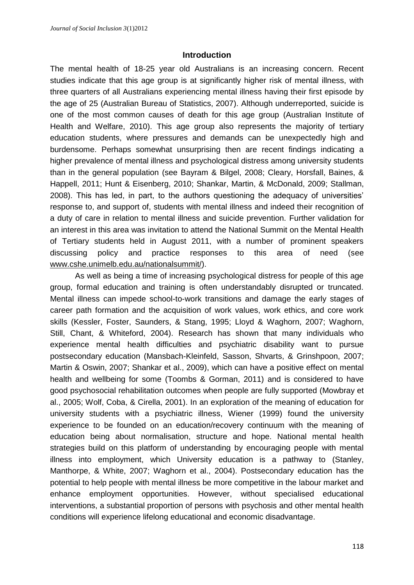#### **Introduction**

The mental health of 18-25 year old Australians is an increasing concern. Recent studies indicate that this age group is at significantly higher risk of mental illness, with three quarters of all Australians experiencing mental illness having their first episode by the age of 25 [\(Australian Bureau of Statistics, 2007\)](#page-8-0). Although underreported, suicide is one of the most common causes of death for this age group [\(Australian Institute of](#page-8-1)  [Health and Welfare, 2010\)](#page-8-1). This age group also represents the majority of tertiary education students, where pressures and demands can be unexpectedly high and burdensome. Perhaps somewhat unsurprising then are recent findings indicating a higher prevalence of mental illness and psychological distress among university students than in the general population [\(see Bayram & Bilgel, 2008;](#page-8-2) [Cleary, Horsfall, Baines, &](#page-8-3)  [Happell, 2011;](#page-8-3) [Hunt & Eisenberg, 2010;](#page-9-0) [Shankar, Martin, & McDonald, 2009;](#page-10-0) [Stallman,](#page-10-1)  [2008\)](#page-10-1). This has led, in part, to the authors questioning the adequacy of universities' response to, and support of, students with mental illness and indeed their recognition of a duty of care in relation to mental illness and suicide prevention. Further validation for an interest in this area was invitation to attend the National Summit on the Mental Health of Tertiary students held in August 2011, with a number of prominent speakers discussing policy and practice responses to this area of need (see [www.cshe.unimelb.edu.au/nationalsummit/\)](http://www.cshe.unimelb.edu.au/nationalsummit/).

As well as being a time of increasing psychological distress for people of this age group, formal education and training is often understandably disrupted or truncated. Mental illness can impede school-to-work transitions and damage the early stages of career path formation and the acquisition of work values, work ethics, and core work skills [\(Kessler, Foster, Saunders, & Stang, 1995;](#page-9-1) [Lloyd & Waghorn, 2007;](#page-9-2) [Waghorn,](#page-11-0)  [Still, Chant, & Whiteford, 2004\)](#page-11-0). Research has shown that many individuals who experience mental health difficulties and psychiatric disability want to pursue postsecondary education [\(Mansbach-Kleinfeld, Sasson, Shvarts, & Grinshpoon, 2007;](#page-9-3) [Martin & Oswin, 2007;](#page-9-4) [Shankar et al., 2009\)](#page-10-0), which can have a positive effect on mental health and wellbeing for some [\(Toombs & Gorman, 2011\)](#page-11-1) and is considered to have good psychosocial rehabilitation outcomes when people are fully supported [\(Mowbray et](#page-10-2)  [al., 2005;](#page-10-2) [Wolf, Coba, & Cirella, 2001\)](#page-11-2). In an exploration of the meaning of education for university students with a psychiatric illness, Wiener [\(1999\)](#page-11-3) found the university experience to be founded on an education/recovery continuum with the meaning of education being about normalisation, structure and hope. National mental health strategies build on this platform of understanding by encouraging people with mental illness into employment, which University education is a pathway to [\(Stanley,](#page-11-4)  [Manthorpe, & White, 2007;](#page-11-4) [Waghorn et al., 2004\)](#page-11-0). Postsecondary education has the potential to help people with mental illness be more competitive in the labour market and enhance employment opportunities. However, without specialised educational interventions, a substantial proportion of persons with psychosis and other mental health conditions will experience lifelong educational and economic disadvantage.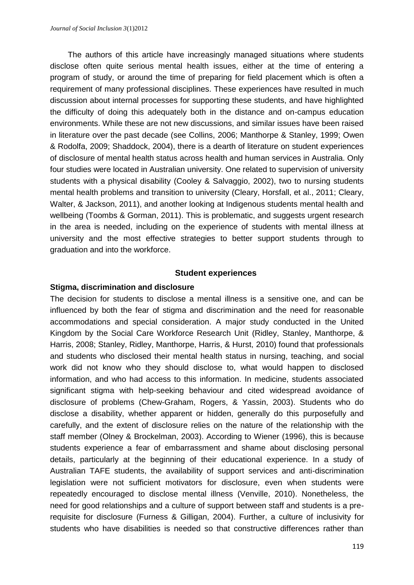The authors of this article have increasingly managed situations where students disclose often quite serious mental health issues, either at the time of entering a program of study, or around the time of preparing for field placement which is often a requirement of many professional disciplines. These experiences have resulted in much discussion about internal processes for supporting these students, and have highlighted the difficulty of doing this adequately both in the distance and on-campus education environments. While these are not new discussions, and similar issues have been raised in literature over the past decade [\(see Collins, 2006;](#page-9-5) [Manthorpe & Stanley, 1999;](#page-9-6) [Owen](#page-10-3)  [& Rodolfa, 2009;](#page-10-3) [Shaddock, 2004\)](#page-10-4), there is a dearth of literature on student experiences of disclosure of mental health status across health and human services in Australia. Only four studies were located in Australian university. One related to supervision of university students with a physical disability [\(Cooley & Salvaggio, 2002\)](#page-9-7), two to nursing students mental health problems and transition to university [\(Cleary, Horsfall, et al., 2011;](#page-8-3) [Cleary,](#page-9-8)  [Walter, & Jackson, 2011\)](#page-9-8), and another looking at Indigenous students mental health and wellbeing (Toombs & Gorman, 2011). This is problematic, and suggests urgent research in the area is needed, including on the experience of students with mental illness at university and the most effective strategies to better support students through to graduation and into the workforce.

#### **Student experiences**

#### **Stigma, discrimination and disclosure**

The decision for students to disclose a mental illness is a sensitive one, and can be influenced by both the fear of stigma and discrimination and the need for reasonable accommodations and special consideration. A major study conducted in the United Kingdom by the Social Care Workforce Research Unit [\(Ridley, Stanley, Manthorpe, &](#page-10-5)  [Harris, 2008;](#page-10-5) [Stanley, Ridley, Manthorpe, Harris, & Hurst,](#page-11-5) 2010) found that professionals and students who disclosed their mental health status in nursing, teaching, and social work did not know who they should disclose to, what would happen to disclosed information, and who had access to this information. In medicine, students associated significant stigma with help-seeking behaviour and cited widespread avoidance of disclosure of problems [\(Chew-Graham, Rogers, & Yassin, 2003\)](#page-8-4). Students who do disclose a disability, whether apparent or hidden, generally do this purposefully and carefully, and the extent of disclosure relies on the nature of the relationship with the staff member [\(Olney & Brockelman, 2003\)](#page-10-6). According to Wiener [\(1996\)](#page-11-6), this is because students experience a fear of embarrassment and shame about disclosing personal details, particularly at the beginning of their educational experience. In a study of Australian TAFE students, the availability of support services and anti-discrimination legislation were not sufficient motivators for disclosure, even when students were repeatedly encouraged to disclose mental illness [\(Venville, 2010\)](#page-11-7). Nonetheless, the need for good relationships and a culture of support between staff and students is a prerequisite for disclosure [\(Furness & Gilligan, 2004\)](#page-9-9). Further, a culture of inclusivity for students who have disabilities is needed so that constructive differences rather than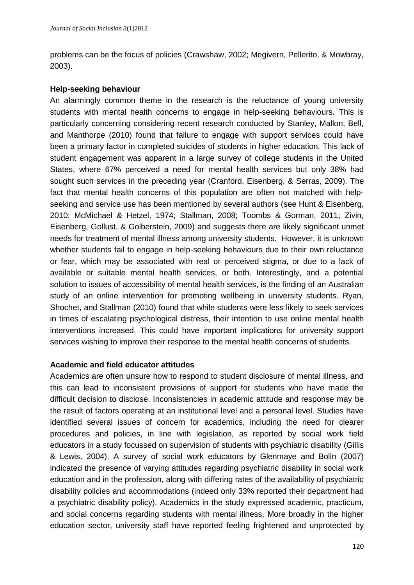problems can be the focus of policies [\(Crawshaw, 2002;](#page-9-10) [Megivern, Pellerito, & Mowbray,](#page-10-7)  [2003\)](#page-10-7).

# **Help-seeking behaviour**

An alarmingly common theme in the research is the reluctance of young university students with mental health concerns to engage in help-seeking behaviours. This is particularly concerning considering recent research conducted by Stanley, Mallon, Bell, and Manthorpe [\(2010\)](#page-11-8) found that failure to engage with support services could have been a primary factor in completed suicides of students in higher education. This lack of student engagement was apparent in a large survey of college students in the United States, where 67% perceived a need for mental health services but only 38% had sought such services in the preceding year [\(Cranford, Eisenberg,](#page-9-11) & Serras, 2009). The fact that mental health concerns of this population are often not matched with helpseeking and service use has been mentioned by several authors (see [Hunt & Eisenberg,](#page-9-0)  [2010;](#page-9-0) [McMichael & Hetzel, 1974;](#page-10-8) [Stallman, 2008;](#page-10-1) [Toombs & Gorman, 2011;](#page-11-1) [Zivin,](#page-11-9)  [Eisenberg, Gollust, & Golberstein, 2009\)](#page-11-9) and suggests there are likely significant unmet needs for treatment of mental illness among university students. However, it is unknown whether students fail to engage in help-seeking behaviours due to their own reluctance or fear, which may be associated with real or perceived stigma, or due to a lack of available or suitable mental health services, or both. Interestingly, and a potential solution to issues of accessibility of mental health services, is the finding of an Australian study of an online intervention for promoting wellbeing in university students. Ryan, Shochet, and Stallman [\(2010\)](#page-10-9) found that while students were less likely to seek services in times of escalating psychological distress, their intention to use online mental health interventions increased. This could have important implications for university support services wishing to improve their response to the mental health concerns of students.

# **Academic and field educator attitudes**

Academics are often unsure how to respond to student disclosure of mental illness, and this can lead to inconsistent provisions of support for students who have made the difficult decision to disclose. Inconsistencies in academic attitude and response may be the result of factors operating at an institutional level and a personal level. Studies have identified several issues of concern for academics, including the need for clearer procedures and policies, in line with legislation, as reported by social work field educators in a study focussed on supervision of students with psychiatric disability [\(Gillis](#page-9-12)  [& Lewis, 2004\)](#page-9-12). A survey of social work educators by Glenmaye and Bolin [\(2007\)](#page-9-13) indicated the presence of varying attitudes regarding psychiatric disability in social work education and in the profession, along with differing rates of the availability of psychiatric disability policies and accommodations (indeed only 33% reported their department had a psychiatric disability policy). Academics in the study expressed academic, practicum, and social concerns regarding students with mental illness. More broadly in the higher education sector, university staff have reported feeling frightened and unprotected by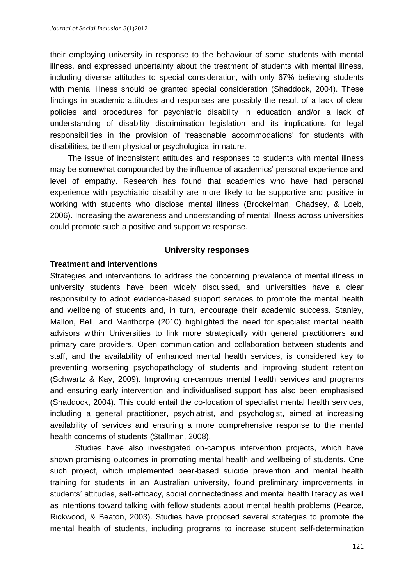their employing university in response to the behaviour of some students with mental illness, and expressed uncertainty about the treatment of students with mental illness, including diverse attitudes to special consideration, with only 67% believing students with mental illness should be granted special consideration [\(Shaddock, 2004\)](#page-10-4). These findings in academic attitudes and responses are possibly the result of a lack of clear policies and procedures for psychiatric disability in education and/or a lack of understanding of disability discrimination legislation and its implications for legal responsibilities in the provision of 'reasonable accommodations' for students with disabilities, be them physical or psychological in nature.

The issue of inconsistent attitudes and responses to students with mental illness may be somewhat compounded by the influence of academics' personal experience and level of empathy. Research has found that academics who have had personal experience with psychiatric disability are more likely to be supportive and positive in working with students who disclose mental illness [\(Brockelman, Chadsey, & Loeb,](#page-8-5)  [2006\)](#page-8-5). Increasing the awareness and understanding of mental illness across universities could promote such a positive and supportive response.

# **University responses**

#### **Treatment and interventions**

Strategies and interventions to address the concerning prevalence of mental illness in university students have been widely discussed, and universities have a clear responsibility to adopt evidence-based support services to promote the mental health and wellbeing of students and, in turn, encourage their academic success. Stanley, Mallon, Bell, and Manthorpe [\(2010\)](#page-11-8) highlighted the need for specialist mental health advisors within Universities to link more strategically with general practitioners and primary care providers. Open communication and collaboration between students and staff, and the availability of enhanced mental health services, is considered key to preventing worsening psychopathology of students and improving student retention [\(Schwartz & Kay, 2009\)](#page-10-10). Improving on-campus mental health services and programs and ensuring early intervention and individualised support has also been emphasised [\(Shaddock, 2004\)](#page-10-4). This could entail the co-location of specialist mental health services, including a general practitioner, psychiatrist, and psychologist, aimed at increasing availability of services and ensuring a more comprehensive response to the mental health concerns of students [\(Stallman, 2008\)](#page-10-1).

Studies have also investigated on-campus intervention projects, which have shown promising outcomes in promoting mental health and wellbeing of students. One such project, which implemented peer-based suicide prevention and mental health training for students in an Australian university, found preliminary improvements in students' attitudes, self-efficacy, social connectedness and mental health literacy as well as intentions toward talking with fellow students about mental health problems [\(Pearce,](#page-10-11)  [Rickwood, & Beaton, 2003\)](#page-10-11). Studies have proposed several strategies to promote the mental health of students, including programs to increase student self-determination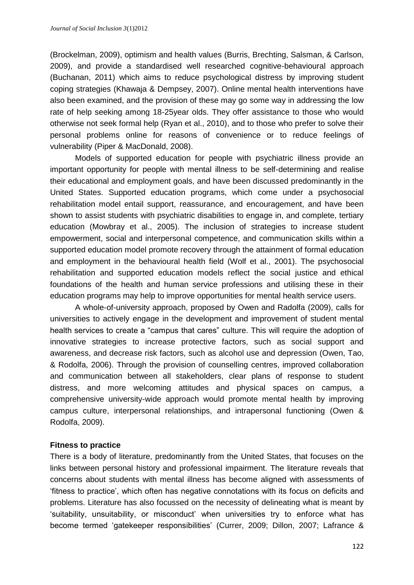[\(Brockelman, 2009\)](#page-8-6), optimism and health values [\(Burris, Brechting, Salsman, & Carlson,](#page-8-7)  [2009\)](#page-8-7), and provide a standardised well researched cognitive-behavioural approach [\(Buchanan, 2011\)](#page-8-8) which aims to reduce psychological distress by improving student coping strategies [\(Khawaja & Dempsey, 2007\)](#page-9-14). Online mental health interventions have also been examined, and the provision of these may go some way in addressing the low rate of help seeking among 18-25year olds. They offer assistance to those who would otherwise not seek formal help [\(Ryan et al., 2010\)](#page-10-9), and to those who prefer to solve their personal problems online for reasons of convenience or to reduce feelings of vulnerability [\(Piper & MacDonald, 2008\)](#page-10-12).

Models of supported education for people with psychiatric illness provide an important opportunity for people with mental illness to be self-determining and realise their educational and employment goals, and have been discussed predominantly in the United States. Supported education programs, which come under a psychosocial rehabilitation model entail support, reassurance, and encouragement, and have been shown to assist students with psychiatric disabilities to engage in, and complete, tertiary education [\(Mowbray et al., 2005\)](#page-10-2). The inclusion of strategies to increase student empowerment, social and interpersonal competence, and communication skills within a supported education model promote recovery through the attainment of formal education and employment in the behavioural health field [\(Wolf et al., 2001\)](#page-11-2). The psychosocial rehabilitation and supported education models reflect the social justice and ethical foundations of the health and human service professions and utilising these in their education programs may help to improve opportunities for mental health service users.

A whole-of-university approach, proposed by Owen and Radolfa [\(2009\)](#page-10-3), calls for universities to actively engage in the development and improvement of student mental health services to create a "campus that cares" culture. This will require the adoption of innovative strategies to increase protective factors, such as social support and awareness, and decrease risk factors, such as alcohol use and depression [\(Owen, Tao,](#page-10-13)  [& Rodolfa, 2006\)](#page-10-13). Through the provision of counselling centres, improved collaboration and communication between all stakeholders, clear plans of response to student distress, and more welcoming attitudes and physical spaces on campus, a comprehensive university-wide approach would promote mental health by improving campus culture, interpersonal relationships, and intrapersonal functioning [\(Owen &](#page-10-3)  [Rodolfa, 2009\)](#page-10-3).

# **Fitness to practice**

There is a body of literature, predominantly from the United States, that focuses on the links between personal history and professional impairment. The literature reveals that concerns about students with mental illness has become aligned with assessments of 'fitness to practice', which often has negative connotations with its focus on deficits and problems. Literature has also focussed on the necessity of delineating what is meant by 'suitability, unsuitability, or misconduct' when universities try to enforce what has become termed 'gatekeeper responsibilities' [\(Currer, 2009;](#page-9-15) [Dillon, 2007;](#page-9-16) [Lafrance &](#page-9-17)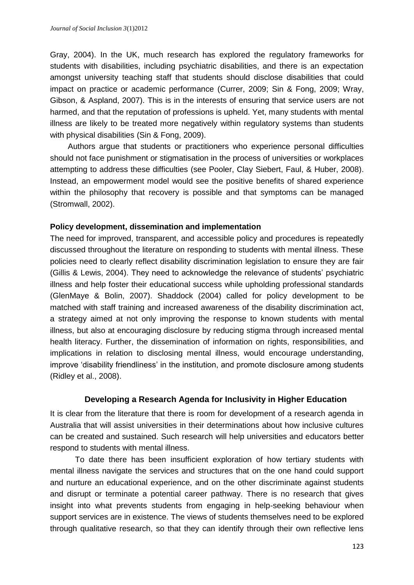[Gray, 2004\)](#page-9-17). In the UK, much research has explored the regulatory frameworks for students with disabilities, including psychiatric disabilities, and there is an expectation amongst university teaching staff that students should disclose disabilities that could impact on practice or academic performance [\(Currer, 2009;](#page-9-15) [Sin & Fong, 2009;](#page-10-14) [Wray,](#page-11-10)  [Gibson, & Aspland, 2007\)](#page-11-10). This is in the interests of ensuring that service users are not harmed, and that the reputation of professions is upheld. Yet, many students with mental illness are likely to be treated more negatively within regulatory systems than students with physical disabilities [\(Sin & Fong, 2009\)](#page-10-14).

Authors argue that students or practitioners who experience personal difficulties should not face punishment or stigmatisation in the process of universities or workplaces attempting to address these difficulties [\(see Pooler, Clay Siebert, Faul, & Huber, 2008\)](#page-10-15). Instead, an empowerment model would see the positive benefits of shared experience within the philosophy that recovery is possible and that symptoms can be managed [\(Stromwall, 2002\)](#page-11-11).

#### **Policy development, dissemination and implementation**

The need for improved, transparent, and accessible policy and procedures is repeatedly discussed throughout the literature on responding to students with mental illness. These policies need to clearly reflect disability discrimination legislation to ensure they are fair [\(Gillis & Lewis, 2004\)](#page-9-12). They need to acknowledge the relevance of students' psychiatric illness and help foster their educational success while upholding professional standards [\(GlenMaye & Bolin, 2007\)](#page-9-13). Shaddock [\(2004\)](#page-10-4) called for policy development to be matched with staff training and increased awareness of the disability discrimination act, a strategy aimed at not only improving the response to known students with mental illness, but also at encouraging disclosure by reducing stigma through increased mental health literacy. Further, the dissemination of information on rights, responsibilities, and implications in relation to disclosing mental illness, would encourage understanding, improve 'disability friendliness' in the institution, and promote disclosure among students [\(Ridley et al., 2008\)](#page-10-5).

# **Developing a Research Agenda for Inclusivity in Higher Education**

It is clear from the literature that there is room for development of a research agenda in Australia that will assist universities in their determinations about how inclusive cultures can be created and sustained. Such research will help universities and educators better respond to students with mental illness.

To date there has been insufficient exploration of how tertiary students with mental illness navigate the services and structures that on the one hand could support and nurture an educational experience, and on the other discriminate against students and disrupt or terminate a potential career pathway. There is no research that gives insight into what prevents students from engaging in help-seeking behaviour when support services are in existence. The views of students themselves need to be explored through qualitative research, so that they can identify through their own reflective lens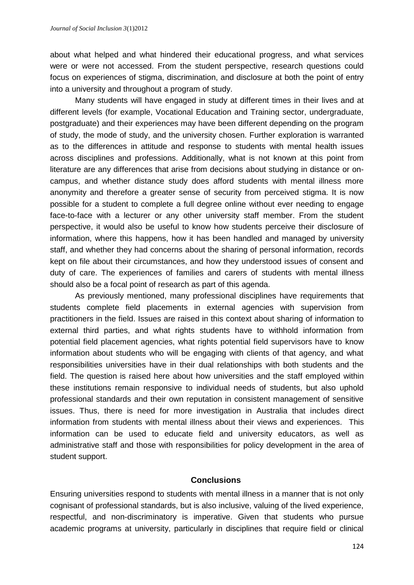about what helped and what hindered their educational progress, and what services were or were not accessed. From the student perspective, research questions could focus on experiences of stigma, discrimination, and disclosure at both the point of entry into a university and throughout a program of study.

Many students will have engaged in study at different times in their lives and at different levels (for example, Vocational Education and Training sector, undergraduate, postgraduate) and their experiences may have been different depending on the program of study, the mode of study, and the university chosen. Further exploration is warranted as to the differences in attitude and response to students with mental health issues across disciplines and professions. Additionally, what is not known at this point from literature are any differences that arise from decisions about studying in distance or oncampus, and whether distance study does afford students with mental illness more anonymity and therefore a greater sense of security from perceived stigma. It is now possible for a student to complete a full degree online without ever needing to engage face-to-face with a lecturer or any other university staff member. From the student perspective, it would also be useful to know how students perceive their disclosure of information, where this happens, how it has been handled and managed by university staff, and whether they had concerns about the sharing of personal information, records kept on file about their circumstances, and how they understood issues of consent and duty of care. The experiences of families and carers of students with mental illness should also be a focal point of research as part of this agenda.

As previously mentioned, many professional disciplines have requirements that students complete field placements in external agencies with supervision from practitioners in the field. Issues are raised in this context about sharing of information to external third parties, and what rights students have to withhold information from potential field placement agencies, what rights potential field supervisors have to know information about students who will be engaging with clients of that agency, and what responsibilities universities have in their dual relationships with both students and the field. The question is raised here about how universities and the staff employed within these institutions remain responsive to individual needs of students, but also uphold professional standards and their own reputation in consistent management of sensitive issues. Thus, there is need for more investigation in Australia that includes direct information from students with mental illness about their views and experiences. This information can be used to educate field and university educators, as well as administrative staff and those with responsibilities for policy development in the area of student support.

# **Conclusions**

Ensuring universities respond to students with mental illness in a manner that is not only cognisant of professional standards, but is also inclusive, valuing of the lived experience, respectful, and non-discriminatory is imperative. Given that students who pursue academic programs at university, particularly in disciplines that require field or clinical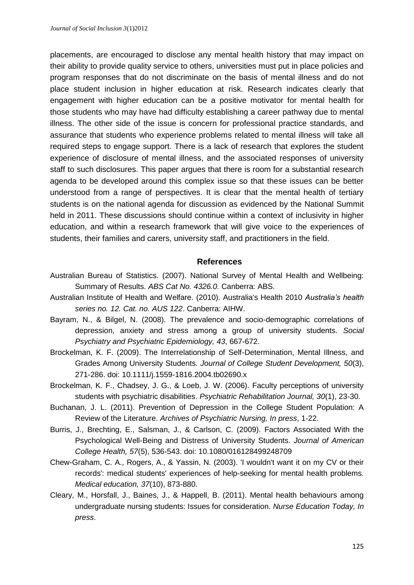placements, are encouraged to disclose any mental health history that may impact on their ability to provide quality service to others, universities must put in place policies and program responses that do not discriminate on the basis of mental illness and do not place student inclusion in higher education at risk. Research indicates clearly that engagement with higher education can be a positive motivator for mental health for those students who may have had difficulty establishing a career pathway due to mental illness. The other side of the issue is concern for professional practice standards, and assurance that students who experience problems related to mental illness will take all required steps to engage support. There is a lack of research that explores the student experience of disclosure of mental illness, and the associated responses of university staff to such disclosures. This paper argues that there is room for a substantial research agenda to be developed around this complex issue so that these issues can be better understood from a range of perspectives. It is clear that the mental health of tertiary students is on the national agenda for discussion as evidenced by the National Summit held in 2011. These discussions should continue within a context of inclusivity in higher education, and within a research framework that will give voice to the experiences of students, their families and carers, university staff, and practitioners in the field.

# **References**

- <span id="page-8-0"></span>Australian Bureau of Statistics. (2007). National Survey of Mental Health and Wellbeing: Summary of Results. *ABS Cat No. 4326.0.* Canberra: ABS.
- <span id="page-8-1"></span>Australian Institute of Health and Welfare. (2010). Australia's Health 2010 *Australia's health series no. 12. Cat. no. AUS 122*. Canberra: AIHW.
- <span id="page-8-2"></span>Bayram, N., & Bilgel, N. (2008). The prevalence and socio-demographic correlations of depression, anxiety and stress among a group of university students. *Social Psychiatry and Psychiatric Epidemiology, 43*, 667-672.
- <span id="page-8-6"></span>Brockelman, K. F. (2009). The Interrelationship of Self-Determination, Mental Illness, and Grades Among University Students. *Journal of College Student Development, 50*(3), 271-286. doi: 10.1111/j.1559-1816.2004.tb02690.x
- <span id="page-8-5"></span>Brockelman, K. F., Chadsey, J. G., & Loeb, J. W. (2006). Faculty perceptions of university students with psychiatric disabilities. *Psychiatric Rehabilitation Journal, 30*(1), 23-30.
- <span id="page-8-8"></span>Buchanan, J. L. (2011). Prevention of Depression in the College Student Population: A Review of the Literature. *Archives of Psychiatric Nursing, In press*, 1-22.
- <span id="page-8-7"></span>Burris, J., Brechting, E., Salsman, J., & Carlson, C. (2009). Factors Associated With the Psychological Well-Being and Distress of University Students. *Journal of American College Health, 57*(5), 536-543. doi: 10.1080/016128499248709
- <span id="page-8-4"></span>Chew-Graham, C. A., Rogers, A., & Yassin, N. (2003). 'I wouldn't want it on my CV or their records': medical students' experiences of help-seeking for mental health problems. *Medical education, 37*(10), 873-880.
- <span id="page-8-3"></span>Cleary, M., Horsfall, J., Baines, J., & Happell, B. (2011). Mental health behaviours among undergraduate nursing students: Issues for consideration. *Nurse Education Today, In press*.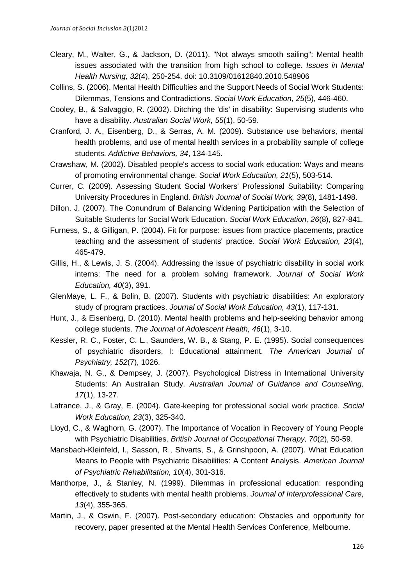- <span id="page-9-8"></span>Cleary, M., Walter, G., & Jackson, D. (2011). "Not always smooth sailing": Mental health issues associated with the transition from high school to college. *Issues in Mental Health Nursing, 32*(4), 250-254. doi: 10.3109/01612840.2010.548906
- <span id="page-9-5"></span>Collins, S. (2006). Mental Health Difficulties and the Support Needs of Social Work Students: Dilemmas, Tensions and Contradictions. *Social Work Education, 25*(5), 446-460.
- <span id="page-9-7"></span>Cooley, B., & Salvaggio, R. (2002). Ditching the 'dis' in disability: Supervising students who have a disability. *Australian Social Work, 55*(1), 50-59.
- <span id="page-9-11"></span>Cranford, J. A., Eisenberg, D., & Serras, A. M. (2009). Substance use behaviors, mental health problems, and use of mental health services in a probability sample of college students. *Addictive Behaviors, 34*, 134-145.
- <span id="page-9-10"></span>Crawshaw, M. (2002). Disabled people's access to social work education: Ways and means of promoting environmental change. *Social Work Education, 21*(5), 503-514.
- <span id="page-9-15"></span>Currer, C. (2009). Assessing Student Social Workers' Professional Suitability: Comparing University Procedures in England. *British Journal of Social Work, 39*(8), 1481-1498.
- <span id="page-9-16"></span>Dillon, J. (2007). The Conundrum of Balancing Widening Participation with the Selection of Suitable Students for Social Work Education. *Social Work Education, 26*(8), 827-841.
- <span id="page-9-9"></span>Furness, S., & Gilligan, P. (2004). Fit for purpose: issues from practice placements, practice teaching and the assessment of students' practice. *Social Work Education, 23*(4), 465-479.
- <span id="page-9-12"></span>Gillis, H., & Lewis, J. S. (2004). Addressing the issue of psychiatric disability in social work interns: The need for a problem solving framework. *Journal of Social Work Education, 40*(3), 391.
- <span id="page-9-13"></span>GlenMaye, L. F., & Bolin, B. (2007). Students with psychiatric disabilities: An exploratory study of program practices. *Journal of Social Work Education, 43*(1), 117-131.
- <span id="page-9-0"></span>Hunt, J., & Eisenberg, D. (2010). Mental health problems and help-seeking behavior among college students. *The Journal of Adolescent Health, 46*(1), 3-10.
- <span id="page-9-1"></span>Kessler, R. C., Foster, C. L., Saunders, W. B., & Stang, P. E. (1995). Social consequences of psychiatric disorders, I: Educational attainment. *The American Journal of Psychiatry, 152*(7), 1026.
- <span id="page-9-14"></span>Khawaja, N. G., & Dempsey, J. (2007). Psychological Distress in International University Students: An Australian Study. *Australian Journal of Guidance and Counselling, 17*(1), 13-27.
- <span id="page-9-17"></span>Lafrance, J., & Gray, E. (2004). Gate-keeping for professional social work practice. *Social Work Education, 23*(3), 325-340.
- <span id="page-9-2"></span>Lloyd, C., & Waghorn, G. (2007). The Importance of Vocation in Recovery of Young People with Psychiatric Disabilities. *British Journal of Occupational Therapy, 70*(2), 50-59.
- <span id="page-9-3"></span>Mansbach-Kleinfeld, I., Sasson, R., Shvarts, S., & Grinshpoon, A. (2007). What Education Means to People with Psychiatric Disabilities: A Content Analysis. *American Journal of Psychiatric Rehabilitation, 10*(4), 301-316.
- <span id="page-9-6"></span>Manthorpe, J., & Stanley, N. (1999). Dilemmas in professional education: responding effectively to students with mental health problems. *Journal of Interprofessional Care, 13*(4), 355-365.
- <span id="page-9-4"></span>Martin, J., & Oswin, F. (2007). Post-secondary education: Obstacles and opportunity for recovery, paper presented at the Mental Health Services Conference, Melbourne.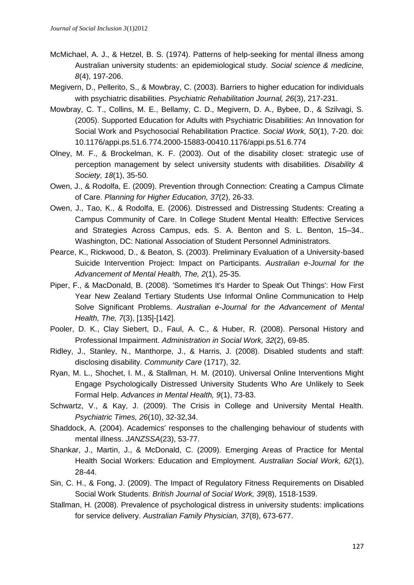- <span id="page-10-8"></span>McMichael, A. J., & Hetzel, B. S. (1974). Patterns of help-seeking for mental illness among Australian university students: an epidemiological study. *Social science & medicine, 8*(4), 197-206.
- <span id="page-10-7"></span>Megivern, D., Pellerito, S., & Mowbray, C. (2003). Barriers to higher education for individuals with psychiatric disabilities. *Psychiatric Rehabilitation Journal, 26*(3), 217-231.
- <span id="page-10-2"></span>Mowbray, C. T., Collins, M. E., Bellamy, C. D., Megivern, D. A., Bybee, D., & Szilvagi, S. (2005). Supported Education for Adults with Psychiatric Disabilities: An Innovation for Social Work and Psychosocial Rehabilitation Practice. *Social Work, 50*(1), 7-20. doi: 10.1176/appi.ps.51.6.774.2000-15883-00410.1176/appi.ps.51.6.774
- <span id="page-10-6"></span>Olney, M. F., & Brockelman, K. F. (2003). Out of the disability closet: strategic use of perception management by select university students with disabilities. *Disability & Society, 18*(1), 35-50.
- <span id="page-10-3"></span>Owen, J., & Rodolfa, E. (2009). Prevention through Connection: Creating a Campus Climate of Care. *Planning for Higher Education, 37*(2), 26-33.
- <span id="page-10-13"></span>Owen, J., Tao, K., & Rodolfa, E. (2006). Distressed and Distressing Students: Creating a Campus Community of Care. In College Student Mental Health: Effective Services and Strategies Across Campus, eds. S. A. Benton and S. L. Benton, 15–34.. Washington, DC: National Association of Student Personnel Administrators.
- <span id="page-10-11"></span>Pearce, K., Rickwood, D., & Beaton, S. (2003). Preliminary Evaluation of a University-based Suicide Intervention Project: Impact on Participants. *Australian e-Journal for the Advancement of Mental Health, The, 2*(1), 25-35.
- <span id="page-10-12"></span>Piper, F., & MacDonald, B. (2008). 'Sometimes It's Harder to Speak Out Things': How First Year New Zealand Tertiary Students Use Informal Online Communication to Help Solve Significant Problems. *Australian e-Journal for the Advancement of Mental Health, The, 7*(3), [135]-[142].
- <span id="page-10-15"></span>Pooler, D. K., Clay Siebert, D., Faul, A. C., & Huber, R. (2008). Personal History and Professional Impairment. *Administration in Social Work, 32*(2), 69-85.
- <span id="page-10-5"></span>Ridley, J., Stanley, N., Manthorpe, J., & Harris, J. (2008). Disabled students and staff: disclosing disability. *Community Care* (1717), 32.
- <span id="page-10-9"></span>Ryan, M. L., Shochet, I. M., & Stallman, H. M. (2010). Universal Online Interventions Might Engage Psychologically Distressed University Students Who Are Unlikely to Seek Formal Help. *Advances in Mental Health, 9*(1), 73-83.
- <span id="page-10-10"></span>Schwartz, V., & Kay, J. (2009). The Crisis in College and University Mental Health. *Psychiatric Times, 26*(10), 32-32,34.
- <span id="page-10-4"></span>Shaddock, A. (2004). Academics' responses to the challenging behaviour of students with mental illness. *JANZSSA*(23), 53-77.
- <span id="page-10-0"></span>Shankar, J., Martin, J., & McDonald, C. (2009). Emerging Areas of Practice for Mental Health Social Workers: Education and Employment. *Australian Social Work, 62*(1), 28-44.
- <span id="page-10-14"></span>Sin, C. H., & Fong, J. (2009). The Impact of Regulatory Fitness Requirements on Disabled Social Work Students. *British Journal of Social Work, 39*(8), 1518-1539.
- <span id="page-10-1"></span>Stallman, H. (2008). Prevalence of psychological distress in university students: implications for service delivery. *Australian Family Physician, 37*(8), 673-677.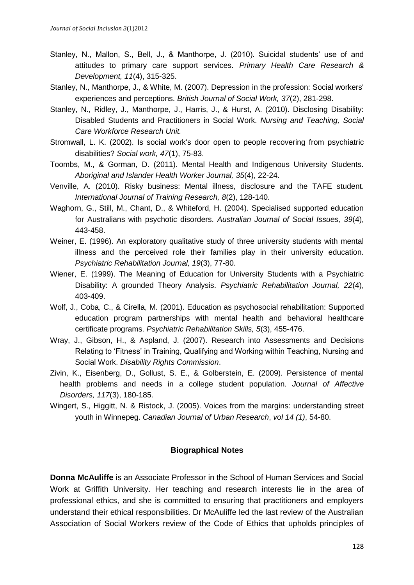- <span id="page-11-8"></span>Stanley, N., Mallon, S., Bell, J., & Manthorpe, J. (2010). Suicidal students' use of and attitudes to primary care support services. *Primary Health Care Research & Development, 11*(4), 315-325.
- <span id="page-11-4"></span>Stanley, N., Manthorpe, J., & White, M. (2007). Depression in the profession: Social workers' experiences and perceptions. *British Journal of Social Work, 37*(2), 281-298.
- <span id="page-11-5"></span>Stanley, N., Ridley, J., Manthorpe, J., Harris, J., & Hurst, A. (2010). Disclosing Disability: Disabled Students and Practitioners in Social Work. *Nursing and Teaching, Social Care Workforce Research Unit.*
- <span id="page-11-11"></span>Stromwall, L. K. (2002). Is social work's door open to people recovering from psychiatric disabilities? *Social work, 47*(1), 75-83.
- <span id="page-11-1"></span>Toombs, M., & Gorman, D. (2011). Mental Health and Indigenous University Students. *Aboriginal and Islander Health Worker Journal, 35*(4), 22-24.
- <span id="page-11-7"></span>Venville, A. (2010). Risky business: Mental illness, disclosure and the TAFE student. *International Journal of Training Research, 8*(2), 128-140.
- <span id="page-11-0"></span>Waghorn, G., Still, M., Chant, D., & Whiteford, H. (2004). Specialised supported education for Australians with psychotic disorders. *Australian Journal of Social Issues, 39*(4), 443-458.
- <span id="page-11-6"></span>Weiner, E. (1996). An exploratory qualitative study of three university students with mental illness and the perceived role their families play in their university education. *Psychiatric Rehabilitation Journal, 19*(3), 77-80.
- <span id="page-11-3"></span>Wiener, E. (1999). The Meaning of Education for University Students with a Psychiatric Disability: A grounded Theory Analysis. *Psychiatric Rehabilitation Journal, 22*(4), 403-409.
- <span id="page-11-2"></span>Wolf, J., Coba, C., & Cirella, M. (2001). Education as psychosocial rehabilitation: Supported education program partnerships with mental health and behavioral healthcare certificate programs. *Psychiatric Rehabilitation Skills, 5*(3), 455-476.
- <span id="page-11-10"></span>Wray, J., Gibson, H., & Aspland, J. (2007). Research into Assessments and Decisions Relating to 'Fitness' in Training, Qualifying and Working within Teaching, Nursing and Social Work. *Disability Rights Commission*.
- <span id="page-11-9"></span>Zivin, K., Eisenberg, D., Gollust, S. E., & Golberstein, E. (2009). Persistence of mental health problems and needs in a college student population. *Journal of Affective Disorders, 117*(3), 180-185.
- Wingert, S., Higgitt, N. & Ristock, J. (2005). Voices from the margins: understanding street youth in Winnepeg. *Canadian Journal of Urban Research*, *vol 14 (1)*, 54-80.

#### **Biographical Notes**

**Donna McAuliffe** is an Associate Professor in the School of Human Services and Social Work at Griffith University. Her teaching and research interests lie in the area of professional ethics, and she is committed to ensuring that practitioners and employers understand their ethical responsibilities. Dr McAuliffe led the last review of the Australian Association of Social Workers review of the Code of Ethics that upholds principles of